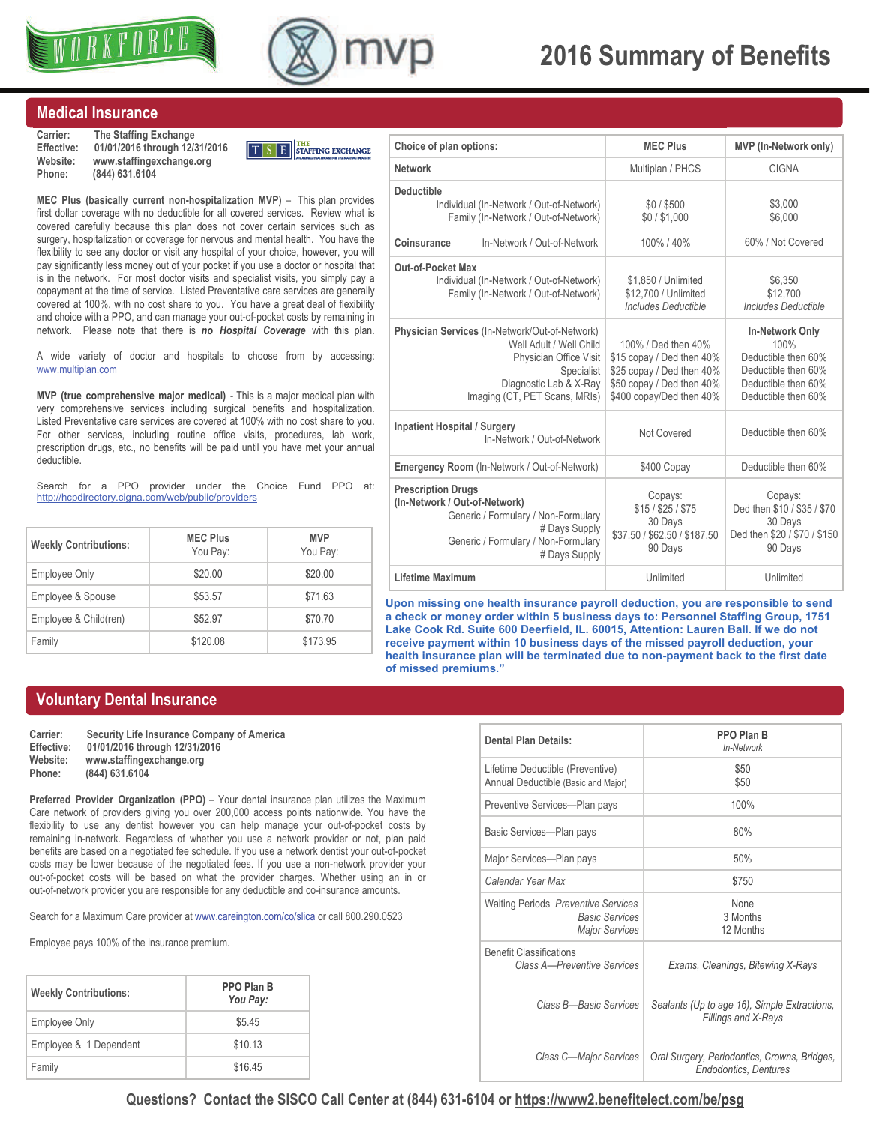



# **2016 Summary of Benefits**

#### **Medical Insurance**

**Carrier: The Staffing Exchange Effective: 01/01/2016 through 12/31/2016 Website: www.staffingexchange.org Phone: (844) 631.6104** 



**MEC Plus (basically current non-hospitalization MVP)** - This plan provides first dollar coverage with no deductible for all covered services. Review what is covered carefully because this plan does not cover certain services such as surgery, hospitalization or coverage for nervous and mental health. You have the flexibility to see any doctor or visit any hospital of your choice, however, you will pay significantly less money out of your pocket if you use a doctor or hospital that is in the network. For most doctor visits and specialist visits, you simply pay a copayment at the time of service. Listed Preventative care services are generally covered at 100%, with no cost share to you. You have a great deal of flexibility and choice with a PPO, and can manage your out-of-pocket costs by remaining in network. Please note that there is *no Hospital Coverage* with this plan.

A wide variety of doctor and hospitals to choose from by accessing: www.multiplan.com

**MVP (true comprehensive major medical)** - This is a major medical plan with very comprehensive services including surgical benefits and hospitalization. Listed Preventative care services are covered at 100% with no cost share to you. For other services, including routine office visits, procedures, lab work, prescription drugs, etc., no benefits will be paid until you have met your annual deductible.

Search for a PPO provider under the Choice Fund PPO at: <http://hcpdirectory.cigna.com/web/public/providers>

| <b>Weekly Contributions:</b> | <b>MEC Plus</b><br>You Pay: | <b>MVP</b><br>You Pay: |
|------------------------------|-----------------------------|------------------------|
| <b>Employee Only</b>         | \$20.00                     | \$20.00                |
| Employee & Spouse            | \$53.57                     | \$71.63                |
| Employee & Child(ren)        | \$52.97                     | \$70.70                |
| Family                       | \$120.08                    | \$173.95               |

| Choice of plan options:                                                                                                                                                      | <b>MEC Plus</b>                                                                                                                        | <b>MVP</b> (In-Network only)                                                                                        |
|------------------------------------------------------------------------------------------------------------------------------------------------------------------------------|----------------------------------------------------------------------------------------------------------------------------------------|---------------------------------------------------------------------------------------------------------------------|
| <b>Network</b>                                                                                                                                                               | Multiplan / PHCS                                                                                                                       | CIGNA                                                                                                               |
| <b>Deductible</b><br>Individual (In-Network / Out-of-Network)<br>Family (In-Network / Out-of-Network)                                                                        | \$0/\$500<br>\$0/\$1,000                                                                                                               | \$3,000<br>\$6,000                                                                                                  |
| Coinsurance<br>In-Network / Out-of-Network                                                                                                                                   | 100%/40%                                                                                                                               | 60% / Not Covered                                                                                                   |
| Out-of-Pocket Max<br>Individual (In-Network / Out-of-Network)<br>Family (In-Network / Out-of-Network)                                                                        | \$1,850 / Unlimited<br>\$12,700 / Unlimited<br><b>Includes Deductible</b>                                                              | \$6.350<br>\$12.700<br><b>Includes Deductible</b>                                                                   |
| Physician Services (In-Network/Out-of-Network)<br>Well Adult / Well Child<br>Physician Office Visit<br>Specialist<br>Diagnostic Lab & X-Ray<br>Imaging (CT, PET Scans, MRIs) | 100% / Ded then 40%<br>\$15 copay / Ded then 40%<br>\$25 copay / Ded then 40%<br>\$50 copay / Ded then 40%<br>\$400 copay/Ded then 40% | In-Network Only<br>100%<br>Deductible then 60%<br>Deductible then 60%<br>Deductible then 60%<br>Deductible then 60% |
| <b>Inpatient Hospital / Surgery</b><br>In-Network / Out-of-Network                                                                                                           | Not Covered                                                                                                                            | Deductible then 60%                                                                                                 |
| Emergency Room (In-Network / Out-of-Network)                                                                                                                                 | \$400 Copay                                                                                                                            | Deductible then 60%                                                                                                 |
| <b>Prescription Drugs</b><br>(In-Network / Out-of-Network)<br>Generic / Formulary / Non-Formulary<br># Days Supply<br>Generic / Formulary / Non-Formulary<br># Days Supply   | Copays:<br>$$15/$ \$25 / \$75<br>30 Days<br>\$37.50 / \$62.50 / \$187.50<br>90 Days                                                    | Copays:<br>Ded then \$10 / \$35 / \$70<br>30 Days<br>Ded then \$20 / \$70 / \$150<br>90 Days                        |
| Lifetime Maximum                                                                                                                                                             | Unlimited                                                                                                                              | Unlimited                                                                                                           |

**Upon missing one health insurance payroll deduction, you are responsible to send a check or money order within 5 business days to: Personnel Staffing Group, 1751 Lake Cook Rd. Suite 600 Deerfield, IL. 60015, Attention: Lauren Ball. If we do not receive payment within 10 business days of the missed payroll deduction, your health insurance plan will be terminated due to non-payment back to the first date of missed premiums."** 

#### **Voluntary Dental Insurance**

| Carrier:   | Security Life Insurance Company of America |
|------------|--------------------------------------------|
| Effective: | 01/01/2016 through 12/31/2016              |
| Website:   | www.staffingexchange.org                   |
| Phone:     | (844) 631, 6104                            |
|            |                                            |

**Preferred Provider Organization (PPO)** – Your dental insurance plan utilizes the Maximum Care network of providers giving you over 200,000 access points nationwide. You have the flexibility to use any dentist however you can help manage your out-of-pocket costs by remaining in-network. Regardless of whether you use a network provider or not, plan paid benefits are based on a negotiated fee schedule. If you use a network dentist your out-of-pocket costs may be lower because of the negotiated fees. If you use a non-network provider your out-of-pocket costs will be based on what the provider charges. Whether using an in or out-of-network provider you are responsible for any deductible and co-insurance amounts.

Search for a Maximum Care provider at www.careington.com/co/slica or call 800.290.0523

Employee pays 100% of the insurance premium.

| <b>Weekly Contributions:</b> | PPO Plan B<br>You Pay: |
|------------------------------|------------------------|
| <b>Employee Only</b>         | \$5.45                 |
| Employee & 1 Dependent       | \$10.13                |
| Family                       | \$16.45                |

| Dental Plan Details:                                                                         | PPO Plan B<br>In-Network                                                     |
|----------------------------------------------------------------------------------------------|------------------------------------------------------------------------------|
| Lifetime Deductible (Preventive)<br>Annual Deductible (Basic and Major)                      | \$50<br>\$50                                                                 |
| Preventive Services-Plan pays                                                                | 100%                                                                         |
| Basic Services-Plan pays                                                                     | 80%                                                                          |
| Major Services-Plan pays                                                                     | 50%                                                                          |
| Calendar Year Max                                                                            | \$750                                                                        |
| <b>Waiting Periods Preventive Services</b><br><b>Basic Services</b><br><b>Major Services</b> | <b>None</b><br>3 Months<br>12 Months                                         |
| <b>Benefit Classifications</b><br>Class A-Preventive Services                                | Exams, Cleanings, Bitewing X-Rays                                            |
| Class B—Basic Services                                                                       | Sealants (Up to age 16), Simple Extractions,<br>Fillings and X-Rays          |
| Class C-Major Services                                                                       | Oral Surgery, Periodontics, Crowns, Bridges,<br><b>Endodontics, Dentures</b> |

**Questions? Contact the SISCO Call Center at (844) 631-6104 or [https://www2.benefitelect.com/be/psg](https://www2.benefitelect.com/be/altstaff)**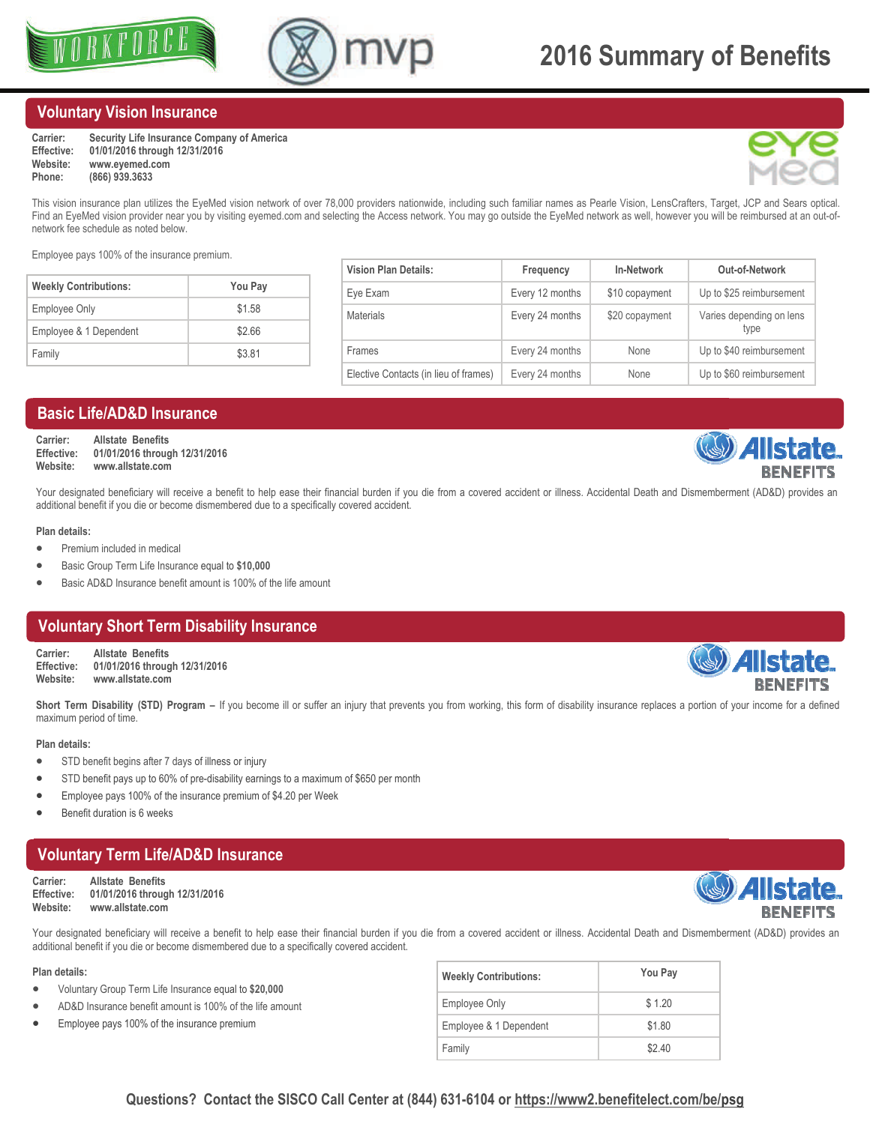



#### **Voluntary Vision Insurance**

| Carrier:   | Security Life Insurance Company of America |
|------------|--------------------------------------------|
| Effective: | 01/01/2016 through 12/31/2016              |
| Website:   | www.evemed.com                             |
| Phone:     | (866) 939, 3633                            |



This vision insurance plan utilizes the EyeMed vision network of over 78,000 providers nationwide, including such familiar names as Pearle Vision, LensCrafters, Target, JCP and Sears optical. Find an EyeMed vision provider near you by visiting eyemed.com and selecting the Access network. You may go outside the EyeMed network as well, however you will be reimbursed at an out-ofnetwork fee schedule as noted below.

Employee pays 100% of the insurance premium.

| <b>Weekly Contributions:</b> | You Pay |
|------------------------------|---------|
| Employee Only                | \$1.58  |
| Employee & 1 Dependent       | \$2.66  |
| Family                       | \$3.81  |

| <b>Vision Plan Details:</b>           | Frequency       | <b>In-Network</b> | Out-of-Network                   |
|---------------------------------------|-----------------|-------------------|----------------------------------|
| Eye Exam                              | Every 12 months | \$10 copayment    | Up to \$25 reimbursement         |
| <b>Materials</b>                      | Every 24 months | \$20 copayment    | Varies depending on lens<br>type |
| Frames                                | Every 24 months | None              | Up to \$40 reimbursement         |
| Elective Contacts (in lieu of frames) | Every 24 months | None              | Up to \$60 reimbursement         |

#### **Basic Life/AD&D Insurance**

**Carrier: Allstate Benefits Effective: 01/01/2016 through 12/31/2016 Website: www.allstate.com** 

Your designated beneficiary will receive a benefit to help ease their financial burden if you die from a covered accident or illness. Accidental Death and Dismemberment (AD&D) provides an additional benefit if you die or become dismembered due to a specifically covered accident.

#### **Plan details:**

- Premium included in medical
- Basic Group Term Life Insurance equal to **\$10,000**
- Basic AD&D Insurance benefit amount is 100% of the life amount

#### **Voluntary Short Term Disability Insurance**

**Carrier: Allstate Benefits Effective: 01/01/2016 through 12/31/2016 Website: www.allstate.com** 

Short Term Disability (STD) Program – If you become ill or suffer an injury that prevents you from working, this form of disability insurance replaces a portion of your income for a defined maximum period of time.

#### **Plan details:**

- STD benefit begins after 7 days of illness or injury
- STD benefit pays up to 60% of pre-disability earnings to a maximum of \$650 per month
- Employee pays 100% of the insurance premium of \$4.20 per Week
- Benefit duration is 6 weeks

## **Voluntary Term Life/AD&D Insurance**

**Carrier: Allstate Benefits Effective: 01/01/2016 through 12/31/2016 Website: www.allstate.com** 

Your designated beneficiary will receive a benefit to help ease their financial burden if you die from a covered accident or illness. Accidental Death and Dismemberment (AD&D) provides an additional benefit if you die or become dismembered due to a specifically covered accident.

#### **Plan details:**

- Voluntary Group Term Life Insurance equal to **\$20,000**
- AD&D Insurance benefit amount is 100% of the life amount
- Employee pays 100% of the insurance premium

| <b>Weekly Contributions:</b> | You Pay |
|------------------------------|---------|
| <b>Employee Only</b>         | \$1.20  |
| Employee & 1 Dependent       | \$1.80  |
| Family                       | \$2.40  |

#### **Questions? Contact the SISCO Call Center at (844) 631-6104 or [https://www2.benefitelect.com/be/psg](https://www2.benefitelect.com/be/altstaff)**

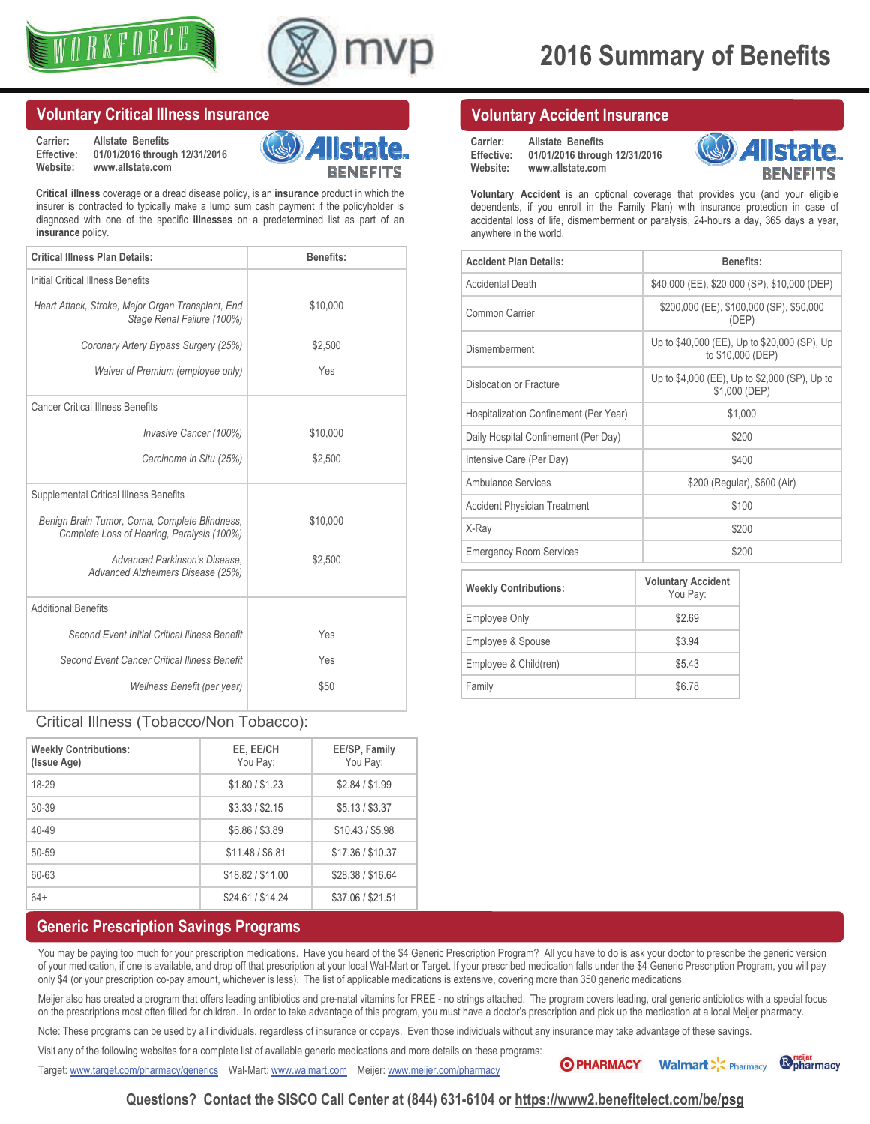



#### **Voluntary Critical Illness Insurance**

**Carrier: Allstate Benefits Effective: 01/01/2016 through 12/31/2016 Website: www.allstate.com** 



**Critical illness** coverage or a dread disease policy, is an **insurance** product in which the insurer is contracted to typically make a lump sum cash payment if the policyholder is diagnosed with one of the specific **illnesses** on a predetermined list as part of an **insurance** policy.

| <b>Critical Illness Plan Details:</b>                                                       | Benefits: |
|---------------------------------------------------------------------------------------------|-----------|
| Initial Critical Illness Benefits                                                           |           |
| Heart Attack, Stroke, Major Organ Transplant, End<br>Stage Renal Failure (100%)             | \$10,000  |
| Coronary Artery Bypass Surgery (25%)                                                        | \$2,500   |
| Waiver of Premium (employee only)                                                           | Yes       |
| <b>Cancer Critical Illness Benefits</b>                                                     |           |
| Invasive Cancer (100%)                                                                      | \$10,000  |
| Carcinoma in Situ (25%)                                                                     | \$2,500   |
| Supplemental Critical Illness Benefits                                                      |           |
| Benign Brain Tumor, Coma, Complete Blindness,<br>Complete Loss of Hearing, Paralysis (100%) | \$10,000  |
| Advanced Parkinson's Disease.<br>Advanced Alzheimers Disease (25%)                          | \$2,500   |
| <b>Additional Benefits</b>                                                                  |           |
| Second Event Initial Critical Illness Benefit                                               | Yes       |
| Second Event Cancer Critical Illness Benefit                                                | Yes       |
| Wellness Benefit (per year)                                                                 | \$50      |

#### Critical Illness (Tobacco/Non Tobacco):

| <b>Weekly Contributions:</b><br>(Issue Age) | EE, EE/CH<br>You Pay: | EE/SP, Family<br>You Pay: |
|---------------------------------------------|-----------------------|---------------------------|
| 18-29                                       | \$1.80 / \$1.23       | \$2.84 / \$1.99           |
| $30 - 39$                                   | \$3.33 / \$2.15       | \$5.13 / \$3.37           |
| $40 - 49$                                   | \$6.86 / \$3.89       | \$10.43 / \$5.98          |
| $50 - 59$                                   | \$11.48 / \$6.81      | \$17.36 / \$10.37         |
| 60-63                                       | \$18.82 / \$11.00     | \$28.38 / \$16.64         |
| $64+$                                       | \$24.61 / \$14.24     | \$37.06 / \$21.51         |

#### **Generic Prescription Savings Programs**

You may be paying too much for your prescription medications. Have you heard of the \$4 Generic Prescription Program? All you have to do is ask your doctor to prescribe the generic version of your medication, if one is available, and drop off that prescription at your local Wal-Mart or Target. If your prescribed medication falls under the \$4 Generic Prescription Program, you will pay only \$4 (or your prescription co-pay amount, whichever is less). The list of applicable medications is extensive, covering more than 350 generic medications.

Meijer also has created a program that offers leading antibiotics and pre-natal vitamins for FREE - no strings attached. The program covers leading, oral generic antibiotics with a special focus on the prescriptions most often filled for children. In order to take advantage of this program, you must have a doctor's prescription and pick up the medication at a local Meijer pharmacy.

Note: These programs can be used by all individuals, regardless of insurance or copays. Even those individuals without any insurance may take advantage of these savings.

Visit any of the following websites for a complete list of available generic medications and more details on these programs:

Target: [www.target.com/pharmacy/generics](http://www.target.com/pharmacy/generics) Wal-Mart: [www.walmart.com](http://www.walmart.com/cp/1078664?povid=cat1088607-env458327-moduleA063012-lLinkLHNPharmacyServices_SavingProgram4FourDollarPrescriptions&fromPageCatId=1088607&catNavId=1088607) Meijer: [www.meijer.com/pharmacy](http://www.meijer.com/pharmacy) vertical production Wallmart Com



**Voluntary Accident** is an optional coverage that provides you (and your eligible dependents, if you enroll in the Family Plan) with insurance protection in case of accidental loss of life, dismemberment or paralysis, 24-hours a day, 365 days a year, anywhere in the world.

**Carrier: Allstate Benefits** 

**Website: www.allstate.com** 

**Effective: 01/01/2016 through 12/31/2016** 

**Voluntary Accident Insurance** 

| <b>Accident Plan Details:</b>          | <b>Benefits:</b>                                                  |
|----------------------------------------|-------------------------------------------------------------------|
| <b>Accidental Death</b>                | \$40,000 (EE), \$20,000 (SP), \$10,000 (DEP)                      |
| Common Carrier                         | \$200,000 (EE), \$100,000 (SP), \$50,000<br>(DEP)                 |
| Dismemberment                          | Up to \$40,000 (EE), Up to \$20,000 (SP), Up<br>to \$10,000 (DEP) |
| Dislocation or Fracture                | Up to \$4,000 (EE), Up to \$2,000 (SP), Up to<br>\$1,000 (DEP)    |
| Hospitalization Confinement (Per Year) | \$1,000                                                           |
| Daily Hospital Confinement (Per Day)   | \$200                                                             |
| Intensive Care (Per Day)               | \$400                                                             |
| Ambulance Services                     | \$200 (Regular), \$600 (Air)                                      |
| <b>Accident Physician Treatment</b>    | \$100                                                             |
| X-Ray                                  | \$200                                                             |
| <b>Emergency Room Services</b>         | \$200                                                             |
|                                        |                                                                   |

| <b>Weekly Contributions:</b> | <b>Voluntary Accident</b><br>You Pay: |
|------------------------------|---------------------------------------|
| Employee Only                | \$2.69                                |
| Employee & Spouse            | \$3.94                                |
| Employee & Child(ren)        | \$5.43                                |
| Family                       | \$6.78                                |

**Questions? Contact the SISCO Call Center at (844) 631-6104 or [https://www2.benefitelect.com/be/psg](https://www2.benefitelect.com/be/altstaff)**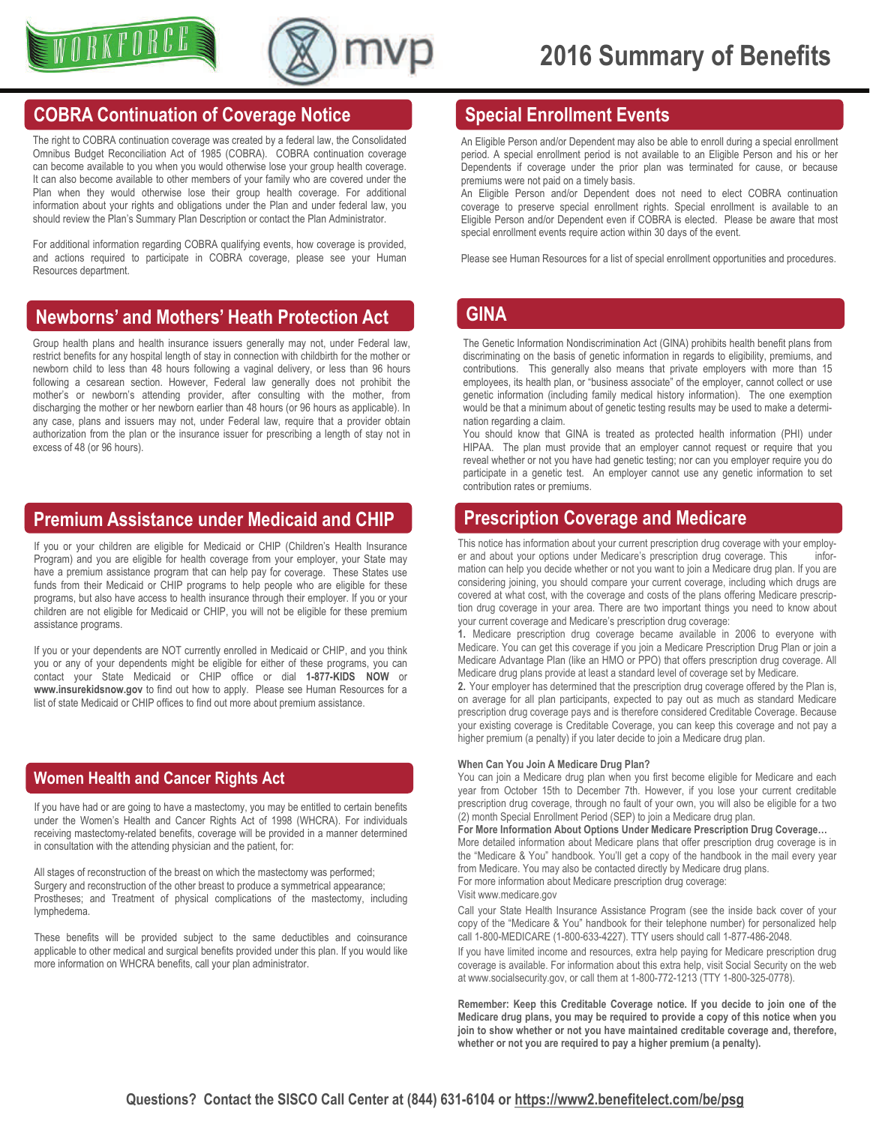



## **COBRA Continuation of Coverage Notice**

The right to COBRA continuation coverage was created by a federal law, the Consolidated Omnibus Budget Reconciliation Act of 1985 (COBRA). COBRA continuation coverage can become available to you when you would otherwise lose your group health coverage. It can also become available to other members of your family who are covered under the Plan when they would otherwise lose their group health coverage. For additional information about your rights and obligations under the Plan and under federal law, you should review the Plan's Summary Plan Description or contact the Plan Administrator.

For additional information regarding COBRA qualifying events, how coverage is provided, and actions required to participate in COBRA coverage, please see your Human Resources department.

## **Newborns' and Mothers' Heath Protection Act**

Group health plans and health insurance issuers generally may not, under Federal law, restrict benefits for any hospital length of stay in connection with childbirth for the mother or newborn child to less than 48 hours following a vaginal delivery, or less than 96 hours following a cesarean section. However, Federal law generally does not prohibit the mother's or newborn's attending provider, after consulting with the mother, from discharging the mother or her newborn earlier than 48 hours (or 96 hours as applicable). In any case, plans and issuers may not, under Federal law, require that a provider obtain authorization from the plan or the insurance issuer for prescribing a length of stay not in excess of 48 (or 96 hours).

## **Premium Assistance under Medicaid and CHIP Prescription Coverage and Medicare**

If you or your children are eligible for Medicaid or CHIP (Children's Health Insurance Program) and you are eligible for health coverage from your employer, your State may have a premium assistance program that can help pay for coverage. These States use funds from their Medicaid or CHIP programs to help people who are eligible for these programs, but also have access to health insurance through their employer. If you or your children are not eligible for Medicaid or CHIP, you will not be eligible for these premium assistance programs.

If you or your dependents are NOT currently enrolled in Medicaid or CHIP, and you think you or any of your dependents might be eligible for either of these programs, you can contact your State Medicaid or CHIP office or dial **1-877-KIDS NOW** or **www.insurekidsnow.gov** to find out how to apply. Please see Human Resources for a list of state Medicaid or CHIP offices to find out more about premium assistance.

## **Women Health and Cancer Rights Act**

If you have had or are going to have a mastectomy, you may be entitled to certain benefits under the Women's Health and Cancer Rights Act of 1998 (WHCRA). For individuals receiving mastectomy-related benefits, coverage will be provided in a manner determined in consultation with the attending physician and the patient, for:

All stages of reconstruction of the breast on which the mastectomy was performed; Surgery and reconstruction of the other breast to produce a symmetrical appearance; Prostheses; and Treatment of physical complications of the mastectomy, including lymphedema.

These benefits will be provided subject to the same deductibles and coinsurance applicable to other medical and surgical benefits provided under this plan. If you would like more information on WHCRA benefits, call your plan administrator.

## **Special Enrollment Events**

An Eligible Person and/or Dependent may also be able to enroll during a special enrollment period. A special enrollment period is not available to an Eligible Person and his or her Dependents if coverage under the prior plan was terminated for cause, or because premiums were not paid on a timely basis.

An Eligible Person and/or Dependent does not need to elect COBRA continuation coverage to preserve special enrollment rights. Special enrollment is available to an Eligible Person and/or Dependent even if COBRA is elected. Please be aware that most special enrollment events require action within 30 days of the event.

Please see Human Resources for a list of special enrollment opportunities and procedures.

### **GINA**

The Genetic Information Nondiscrimination Act (GINA) prohibits health benefit plans from discriminating on the basis of genetic information in regards to eligibility, premiums, and contributions. This generally also means that private employers with more than 15 employees, its health plan, or "business associate" of the employer, cannot collect or use genetic information (including family medical history information). The one exemption would be that a minimum about of genetic testing results may be used to make a determination regarding a claim.

You should know that GINA is treated as protected health information (PHI) under HIPAA. The plan must provide that an employer cannot request or require that you reveal whether or not you have had genetic testing; nor can you employer require you do participate in a genetic test. An employer cannot use any genetic information to set contribution rates or premiums.

This notice has information about your current prescription drug coverage with your employer and about your options under Medicare's prescription drug coverage. This information can help you decide whether or not you want to join a Medicare drug plan. If you are considering joining, you should compare your current coverage, including which drugs are covered at what cost, with the coverage and costs of the plans offering Medicare prescription drug coverage in your area. There are two important things you need to know about your current coverage and Medicare's prescription drug coverage:

**1.** Medicare prescription drug coverage became available in 2006 to everyone with Medicare. You can get this coverage if you join a Medicare Prescription Drug Plan or join a Medicare Advantage Plan (like an HMO or PPO) that offers prescription drug coverage. All Medicare drug plans provide at least a standard level of coverage set by Medicare.

**2.** Your employer has determined that the prescription drug coverage offered by the Plan is, on average for all plan participants, expected to pay out as much as standard Medicare prescription drug coverage pays and is therefore considered Creditable Coverage. Because your existing coverage is Creditable Coverage, you can keep this coverage and not pay a higher premium (a penalty) if you later decide to join a Medicare drug plan.

#### **When Can You Join A Medicare Drug Plan?**

You can join a Medicare drug plan when you first become eligible for Medicare and each year from October 15th to December 7th. However, if you lose your current creditable prescription drug coverage, through no fault of your own, you will also be eligible for a two (2) month Special Enrollment Period (SEP) to join a Medicare drug plan.

#### **For More Information About Options Under Medicare Prescription Drug Coverage…**

More detailed information about Medicare plans that offer prescription drug coverage is in the "Medicare & You" handbook. You'll get a copy of the handbook in the mail every year from Medicare. You may also be contacted directly by Medicare drug plans. For more information about Medicare prescription drug coverage:

Visit www.medicare.gov

Call your State Health Insurance Assistance Program (see the inside back cover of your copy of the "Medicare & You" handbook for their telephone number) for personalized help call 1-800-MEDICARE (1-800-633-4227). TTY users should call 1-877-486-2048.

If you have limited income and resources, extra help paying for Medicare prescription drug coverage is available. For information about this extra help, visit Social Security on the web at www.socialsecurity.gov, or call them at 1-800-772-1213 (TTY 1-800-325-0778).

**Remember: Keep this Creditable Coverage notice. If you decide to join one of the Medicare drug plans, you may be required to provide a copy of this notice when you join to show whether or not you have maintained creditable coverage and, therefore, whether or not you are required to pay a higher premium (a penalty).**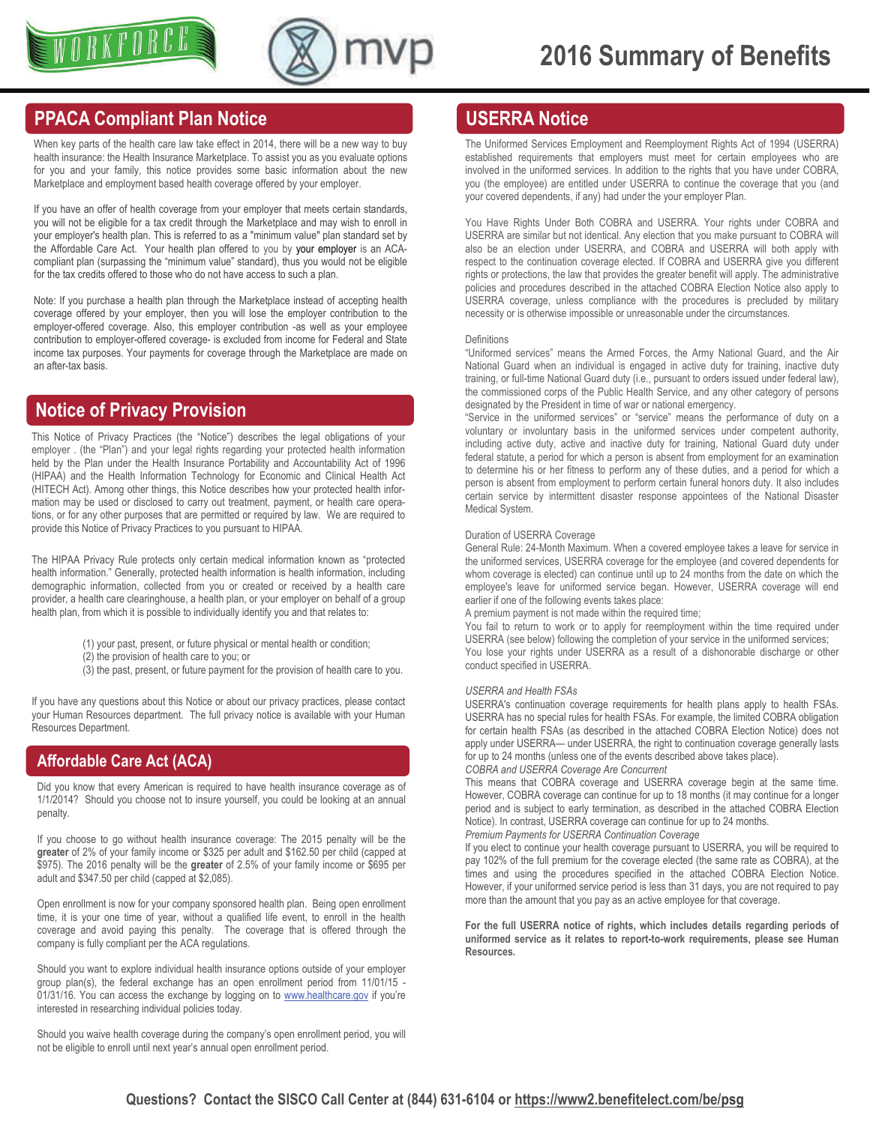



## **PPACA Compliant Plan Notice**

When key parts of the health care law take effect in 2014, there will be a new way to buy health insurance: the Health Insurance Marketplace. To assist you as you evaluate options for you and your family, this notice provides some basic information about the new Marketplace and employment based health coverage offered by your employer.

If you have an offer of health coverage from your employer that meets certain standards, you will not be eligible for a tax credit through the Marketplace and may wish to enroll in your employer's health plan. This is referred to as a "minimum value" plan standard set by the Affordable Care Act. Your health plan offered to you by your employer is an ACAcompliant plan (surpassing the "minimum value" standard), thus you would not be eligible for the tax credits offered to those who do not have access to such a plan.

Note: If you purchase a health plan through the Marketplace instead of accepting health coverage offered by your employer, then you will lose the employer contribution to the employer-offered coverage. Also, this employer contribution -as well as your employee contribution to employer-offered coverage- is excluded from income for Federal and State income tax purposes. Your payments for coverage through the Marketplace are made on an after-tax basis.

## **Notice of Privacy Provision**

This Notice of Privacy Practices (the "Notice") describes the legal obligations of your employer . (the "Plan") and your legal rights regarding your protected health information held by the Plan under the Health Insurance Portability and Accountability Act of 1996 (HIPAA) and the Health Information Technology for Economic and Clinical Health Act (HITECH Act). Among other things, this Notice describes how your protected health information may be used or disclosed to carry out treatment, payment, or health care operations, or for any other purposes that are permitted or required by law. We are required to provide this Notice of Privacy Practices to you pursuant to HIPAA.

The HIPAA Privacy Rule protects only certain medical information known as "protected health information." Generally, protected health information is health information, including demographic information, collected from you or created or received by a health care provider, a health care clearinghouse, a health plan, or your employer on behalf of a group health plan, from which it is possible to individually identify you and that relates to:

- (1) your past, present, or future physical or mental health or condition;
- (2) the provision of health care to you; or
- (3) the past, present, or future payment for the provision of health care to you.

If you have any questions about this Notice or about our privacy practices, please contact your Human Resources department. The full privacy notice is available with your Human Resources Department.

#### **Affordable Care Act (ACA)**

Did you know that every American is required to have health insurance coverage as of 1/1/2014? Should you choose not to insure yourself, you could be looking at an annual penalty.

If you choose to go without health insurance coverage: The 2015 penalty will be the **greater** of 2% of your family income or \$325 per adult and \$162.50 per child (capped at \$975). The 2016 penalty will be the **greater** of 2.5% of your family income or \$695 per adult and \$347.50 per child (capped at \$2,085).

Open enrollment is now for your company sponsored health plan. Being open enrollment time, it is your one time of year, without a qualified life event, to enroll in the health coverage and avoid paying this penalty. The coverage that is offered through the company is fully compliant per the ACA regulations.

Should you want to explore individual health insurance options outside of your employer group plan(s), the federal exchange has an open enrollment period from 11/01/15 01/31/16. You can access the exchange by logging on to [www.healthcare.gov](http://www.healthcare.gov) if you're interested in researching individual policies today.

Should you waive health coverage during the company's open enrollment period, you will not be eligible to enroll until next year's annual open enrollment period.

## **USERRA Notice**

The Uniformed Services Employment and Reemployment Rights Act of 1994 (USERRA) established requirements that employers must meet for certain employees who are involved in the uniformed services. In addition to the rights that you have under COBRA, you (the employee) are entitled under USERRA to continue the coverage that you (and your covered dependents, if any) had under the your employer Plan.

You Have Rights Under Both COBRA and USERRA. Your rights under COBRA and USERRA are similar but not identical. Any election that you make pursuant to COBRA will also be an election under USERRA, and COBRA and USERRA will both apply with respect to the continuation coverage elected. If COBRA and USERRA give you different rights or protections, the law that provides the greater benefit will apply. The administrative policies and procedures described in the attached COBRA Election Notice also apply to USERRA coverage, unless compliance with the procedures is precluded by military necessity or is otherwise impossible or unreasonable under the circumstances.

#### Definitions

"Uniformed services" means the Armed Forces, the Army National Guard, and the Air National Guard when an individual is engaged in active duty for training, inactive duty training, or full-time National Guard duty (i.e., pursuant to orders issued under federal law), the commissioned corps of the Public Health Service, and any other category of persons designated by the President in time of war or national emergency.

"Service in the uniformed services" or "service" means the performance of duty on a voluntary or involuntary basis in the uniformed services under competent authority, including active duty, active and inactive duty for training, National Guard duty under federal statute, a period for which a person is absent from employment for an examination to determine his or her fitness to perform any of these duties, and a period for which a person is absent from employment to perform certain funeral honors duty. It also includes certain service by intermittent disaster response appointees of the National Disaster Medical System.

#### Duration of USERRA Coverage

General Rule: 24-Month Maximum. When a covered employee takes a leave for service in the uniformed services, USERRA coverage for the employee (and covered dependents for whom coverage is elected) can continue until up to 24 months from the date on which the employee's leave for uniformed service began. However, USERRA coverage will end earlier if one of the following events takes place:

A premium payment is not made within the required time;

You fail to return to work or to apply for reemployment within the time required under USERRA (see below) following the completion of your service in the uniformed services; You lose your rights under USERRA as a result of a dishonorable discharge or other conduct specified in USERRA.

#### *USERRA and Health FSAs*

USERRA's continuation coverage requirements for health plans apply to health FSAs. USERRA has no special rules for health FSAs. For example, the limited COBRA obligation for certain health FSAs (as described in the attached COBRA Election Notice) does not apply under USERRA— under USERRA, the right to continuation coverage generally lasts for up to 24 months (unless one of the events described above takes place).

#### *COBRA and USERRA Coverage Are Concurrent*

This means that COBRA coverage and USERRA coverage begin at the same time. However, COBRA coverage can continue for up to 18 months (it may continue for a longer period and is subject to early termination, as described in the attached COBRA Election Notice). In contrast, USERRA coverage can continue for up to 24 months. *Premium Payments for USERRA Continuation Coverage* 

If you elect to continue your health coverage pursuant to USERRA, you will be required to pay 102% of the full premium for the coverage elected (the same rate as COBRA), at the times and using the procedures specified in the attached COBRA Election Notice. However, if your uniformed service period is less than 31 days, you are not required to pay more than the amount that you pay as an active employee for that coverage.

**For the full USERRA notice of rights, which includes details regarding periods of uniformed service as it relates to report-to-work requirements, please see Human Resources.**